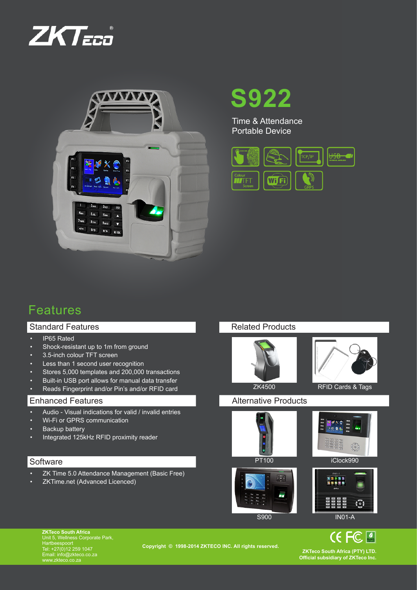



**S922**

Time & Attendance Portable Device



# Features

## Standard Features

- • IP65 Rated
- • Shock-resistant up to 1m from ground
- • 3.5-inch colour TFT screen
- Less than 1 second user recognition
- Stores 5,000 templates and 200,000 transactions
- Built-in USB port allows for manual data transfer
- • Reads Fingerprint and/or Pin's and/or RFID card

### Enhanced Features

- Audio Visual indications for valid / invalid entries
- • Wi-Fi or GPRS communication
- Backup battery
- • Integrated 125kHz RFID proximity reader

## **Software**

- ZK Time 5.0 Attendance Management (Basic Free)
- ZKTime.net (Advanced Licenced)









**CE FC MARK** 

**ZKTeco South Africa**<br>Unit 5, Wellness Corporate Park,<br>Hartbeespoort<br>Tel: +27(0)12 259 1047 Email: info@zkteco.co.za www.zkteco.co.za

**Copyright © 1998-2014 ZKTECO INC. All rights reserved.** 

**ZKTeco South Africa (PTY) LTD. Official subsidiary of ZKTeco Inc.**

# Related Products